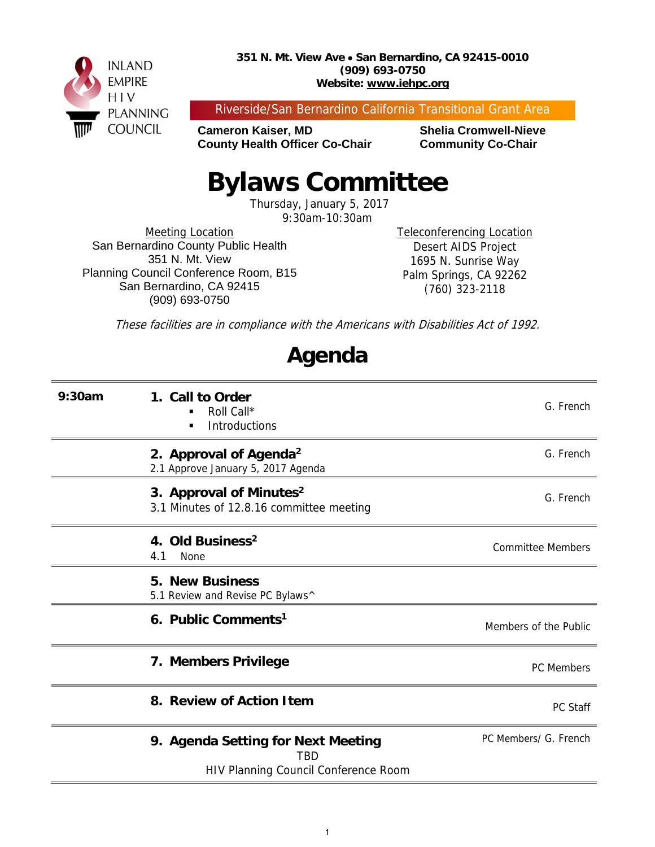

Riverside/San Bernardino California Transitional Grant Area

**Cameron Kaiser, MD Shelia Cromwell-Nieve County Health Officer Co-Chair Community Co-Chair** 

# **Bylaws Committee**

Thursday, January 5, 2017

9:30am-10:30am

Meeting Location San Bernardino County Public Health 351 N. Mt. View Planning Council Conference Room, B15 San Bernardino, CA 92415 (909) 693-0750

Teleconferencing Location Desert AIDS Project 1695 N. Sunrise Way Palm Springs, CA 92262 (760) 323-2118

These facilities are in compliance with the Americans with Disabilities Act of 1992.

### **Agenda**

| 9:30am | 1. Call to Order<br>Roll Call*<br><b>Introductions</b>                            | G. French                |
|--------|-----------------------------------------------------------------------------------|--------------------------|
|        | 2. Approval of Agenda <sup>2</sup><br>2.1 Approve January 5, 2017 Agenda          | G. French                |
|        | 3. Approval of Minutes <sup>2</sup><br>3.1 Minutes of 12.8.16 committee meeting   | G. French                |
|        | 4. Old Business <sup>2</sup><br>4.1<br>None                                       | <b>Committee Members</b> |
|        | <b>5. New Business</b><br>5.1 Review and Revise PC Bylaws^                        |                          |
|        | 6. Public Comments <sup>1</sup>                                                   | Members of the Public    |
|        | 7. Members Privilege                                                              | <b>PC</b> Members        |
|        | 8. Review of Action Item                                                          | PC Staff                 |
|        | 9. Agenda Setting for Next Meeting<br>TBD<br>HIV Planning Council Conference Room | PC Members/ G. French    |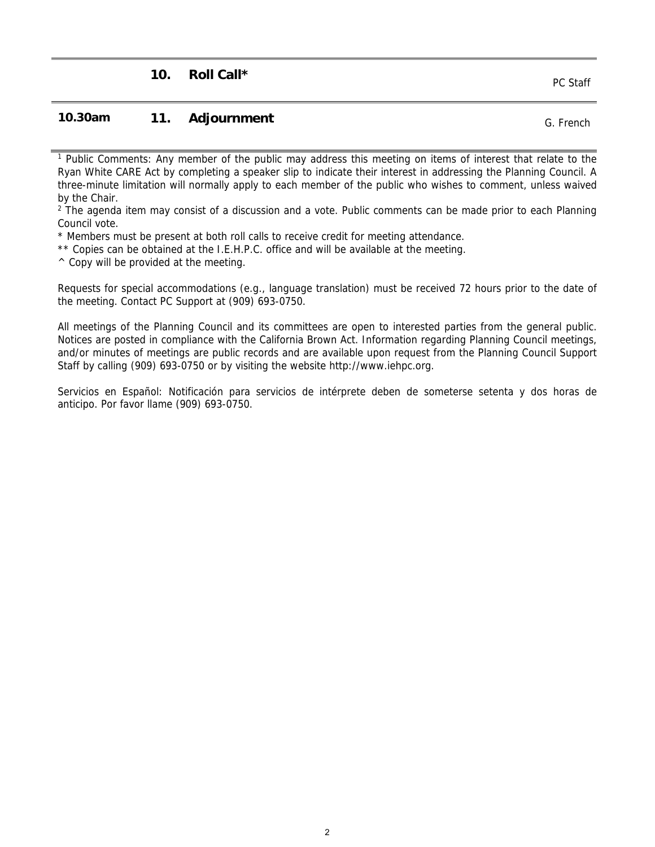#### **10.30am 11. Adjournment COMEX 10.30am** G. French

<sup>1</sup> Public Comments: Any member of the public may address this meeting on items of interest that relate to the Ryan White CARE Act by completing a speaker slip to indicate their interest in addressing the Planning Council. A three-minute limitation will normally apply to each member of the public who wishes to comment, unless waived by the Chair.

<sup>2</sup> The agenda item may consist of a discussion and a vote. Public comments can be made prior to each Planning Council vote.

\* Members must be present at both roll calls to receive credit for meeting attendance.

\*\* Copies can be obtained at the I.E.H.P.C. office and will be available at the meeting.

 $\wedge$  Copy will be provided at the meeting.

Requests for special accommodations (e.g., language translation) must be received 72 hours prior to the date of the meeting. Contact PC Support at (909) 693-0750.

All meetings of the Planning Council and its committees are open to interested parties from the general public. Notices are posted in compliance with the California Brown Act. Information regarding Planning Council meetings, and/or minutes of meetings are public records and are available upon request from the Planning Council Support Staff by calling (909) 693-0750 or by visiting the website http://www.iehpc.org.

Servicios en Español: Notificación para servicios de intérprete deben de someterse setenta y dos horas de anticipo. Por favor llame (909) 693-0750.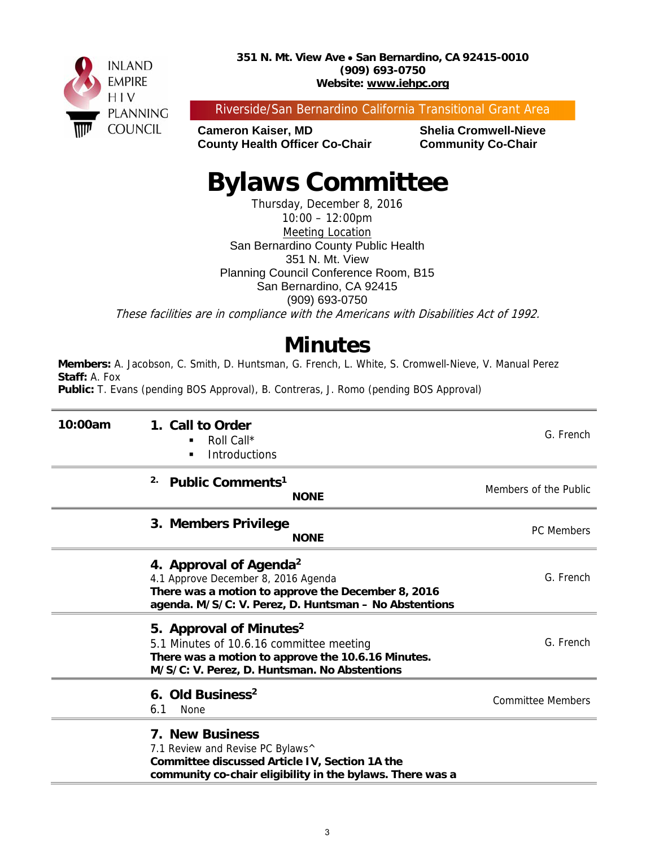

Riverside/San Bernardino California Transitional Grant Area

**Cameron Kaiser, MD Shelia Cromwell-Nieve County Health Officer Co-Chair Community Co-Chair** 

# **Bylaws Committee**

Thursday, December 8, 2016 10:00 – 12:00pm Meeting Location San Bernardino County Public Health 351 N. Mt. View Planning Council Conference Room, B15 San Bernardino, CA 92415 (909) 693-0750 These facilities are in compliance with the Americans with Disabilities Act of 1992.

### **Minutes**

**Members:** A. Jacobson, C. Smith, D. Huntsman, G. French, L. White, S. Cromwell-Nieve, V. Manual Perez **Staff:** A. Fox

**Public:** T. Evans (pending BOS Approval), B. Contreras, J. Romo (pending BOS Approval)

| 10:00am | 1. Call to Order<br>Roll Call*<br>Introductions<br>٠                                                                                                                                     | G. French                |
|---------|------------------------------------------------------------------------------------------------------------------------------------------------------------------------------------------|--------------------------|
|         | 2.<br>Public Comments <sup>1</sup><br><b>NONE</b>                                                                                                                                        | Members of the Public    |
|         | 3. Members Privilege<br><b>NONE</b>                                                                                                                                                      | <b>PC</b> Members        |
|         | 4. Approval of Agenda <sup>2</sup><br>4.1 Approve December 8, 2016 Agenda<br>There was a motion to approve the December 8, 2016<br>agenda. M/S/C: V. Perez, D. Huntsman - No Abstentions | G. French                |
|         | 5. Approval of Minutes <sup>2</sup><br>5.1 Minutes of 10.6.16 committee meeting<br>There was a motion to approve the 10.6.16 Minutes.<br>M/S/C: V. Perez, D. Huntsman. No Abstentions    | G. French                |
|         | 6. Old Business <sup>2</sup><br>6.1<br>None                                                                                                                                              | <b>Committee Members</b> |
|         | <b>7. New Business</b><br>7.1 Review and Revise PC Bylaws^<br>Committee discussed Article IV, Section 1A the<br>community co-chair eligibility in the bylaws. There was a                |                          |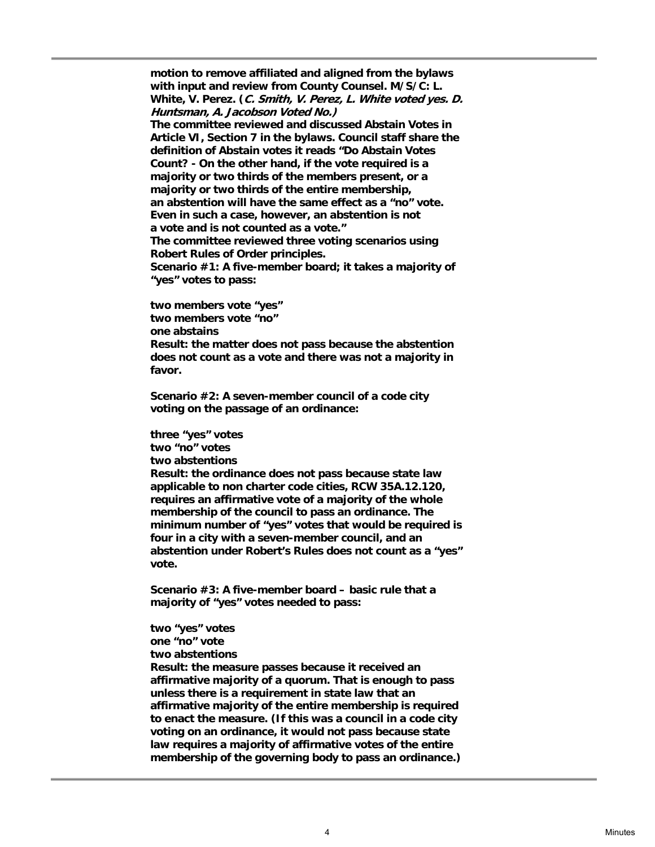**motion to remove affiliated and aligned from the bylaws with input and review from County Counsel. M/S/C: L. White, V. Perez. (C. Smith, V. Perez, L. White voted yes. D. Huntsman, A. Jacobson Voted No.)** 

**The committee reviewed and discussed Abstain Votes in Article VI, Section 7 in the bylaws. Council staff share the definition of Abstain votes it reads "Do Abstain Votes Count? - On the other hand, if the vote required is a majority or two thirds of the members present, or a majority or two thirds of the entire membership, an abstention will have the same effect as a "no" vote. Even in such a case, however, an abstention is not a vote and is not counted as a vote." The committee reviewed three voting scenarios using Robert Rules of Order principles.** 

**Scenario #1: A five-member board; it takes a majority of "yes" votes to pass:** 

**two members vote "yes" two members vote "no" one abstains Result: the matter does not pass because the abstention does not count as a vote and there was not a majority in favor.** 

**Scenario #2: A seven-member council of a code city voting on the passage of an ordinance:** 

**three "yes" votes two "no" votes two abstentions Result: the ordinance does not pass because state law applicable to non charter code cities, RCW 35A.12.120, requires an affirmative vote of a majority of the whole membership of the council to pass an ordinance. The minimum number of "yes" votes that would be required is four in a city with a seven-member council, and an abstention under Robert's Rules does not count as a "yes" vote.** 

**Scenario #3: A five-member board – basic rule that a majority of "yes" votes needed to pass:** 

**two "yes" votes one "no" vote two abstentions Result: the measure passes because it received an affirmative majority of a quorum. That is enough to pass unless there is a requirement in state law that an affirmative majority of the entire membership is required to enact the measure. (If this was a council in a code city voting on an ordinance, it would not pass because state law requires a majority of affirmative votes of the entire membership of the governing body to pass an ordinance.)**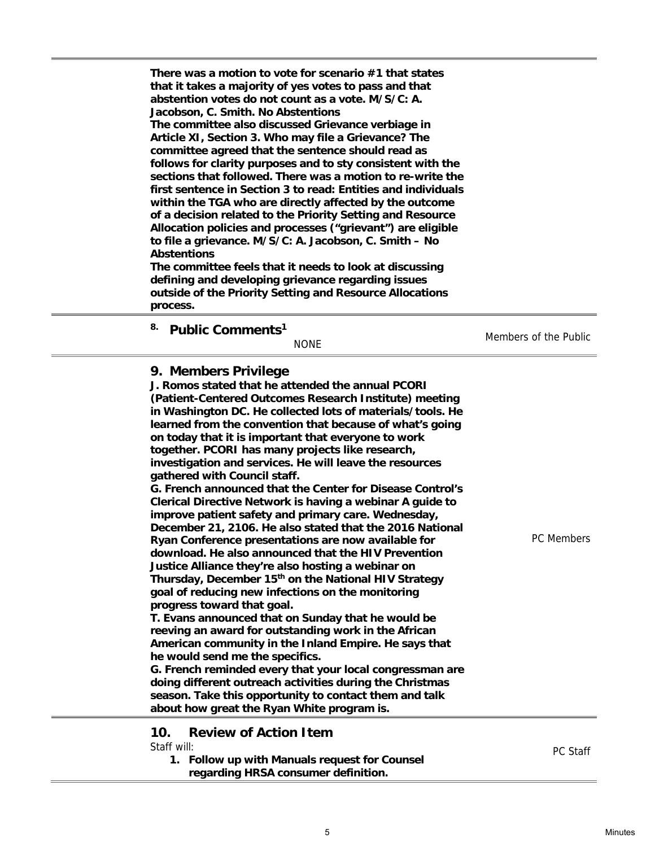| There was a motion to vote for scenario #1 that states<br>that it takes a majority of yes votes to pass and that<br>abstention votes do not count as a vote. M/S/C: A.<br>Jacobson, C. Smith. No Abstentions<br>The committee also discussed Grievance verbiage in<br>Article XI, Section 3. Who may file a Grievance? The<br>committee agreed that the sentence should read as<br>follows for clarity purposes and to sty consistent with the<br>sections that followed. There was a motion to re-write the<br>first sentence in Section 3 to read: Entities and individuals<br>within the TGA who are directly affected by the outcome<br>of a decision related to the Priority Setting and Resource<br>Allocation policies and processes ("grievant") are eligible<br>to file a grievance. M/S/C: A. Jacobson, C. Smith - No<br><b>Abstentions</b><br>The committee feels that it needs to look at discussing<br>defining and developing grievance regarding issues<br>outside of the Priority Setting and Resource Allocations<br>process. |                       |
|------------------------------------------------------------------------------------------------------------------------------------------------------------------------------------------------------------------------------------------------------------------------------------------------------------------------------------------------------------------------------------------------------------------------------------------------------------------------------------------------------------------------------------------------------------------------------------------------------------------------------------------------------------------------------------------------------------------------------------------------------------------------------------------------------------------------------------------------------------------------------------------------------------------------------------------------------------------------------------------------------------------------------------------------|-----------------------|
| 8.<br>Public Comments <sup>1</sup><br><b>NONE</b>                                                                                                                                                                                                                                                                                                                                                                                                                                                                                                                                                                                                                                                                                                                                                                                                                                                                                                                                                                                              | Members of the Public |

|  | 9. Members Privilege |  |
|--|----------------------|--|
|--|----------------------|--|

**J. Romos stated that he attended the annual PCORI (Patient-Centered Outcomes Research Institute) meeting in Washington DC. He collected lots of materials/tools. He learned from the convention that because of what's going on today that it is important that everyone to work together. PCORI has many projects like research, investigation and services. He will leave the resources gathered with Council staff. G. French announced that the Center for Disease Control's Clerical Directive Network is having a webinar A guide to improve patient safety and primary care. Wednesday, December 21, 2106. He also stated that the 2016 National Ryan Conference presentations are now available for download. He also announced that the HIV Prevention Justice Alliance they're also hosting a webinar on Thursday, December 15th on the National HIV Strategy goal of reducing new infections on the monitoring progress toward that goal. T. Evans announced that on Sunday that he would be reeving an award for outstanding work in the African American community in the Inland Empire. He says that he would send me the specifics. G. French reminded every that your local congressman are doing different outreach activities during the Christmas season. Take this opportunity to contact them and talk about how great the Ryan White program is.** PC Members  **10. Review of Action Item**  Staff will: **1. Follow up with Manuals request for Counsel**  PC Staff

**regarding HRSA consumer definition.**